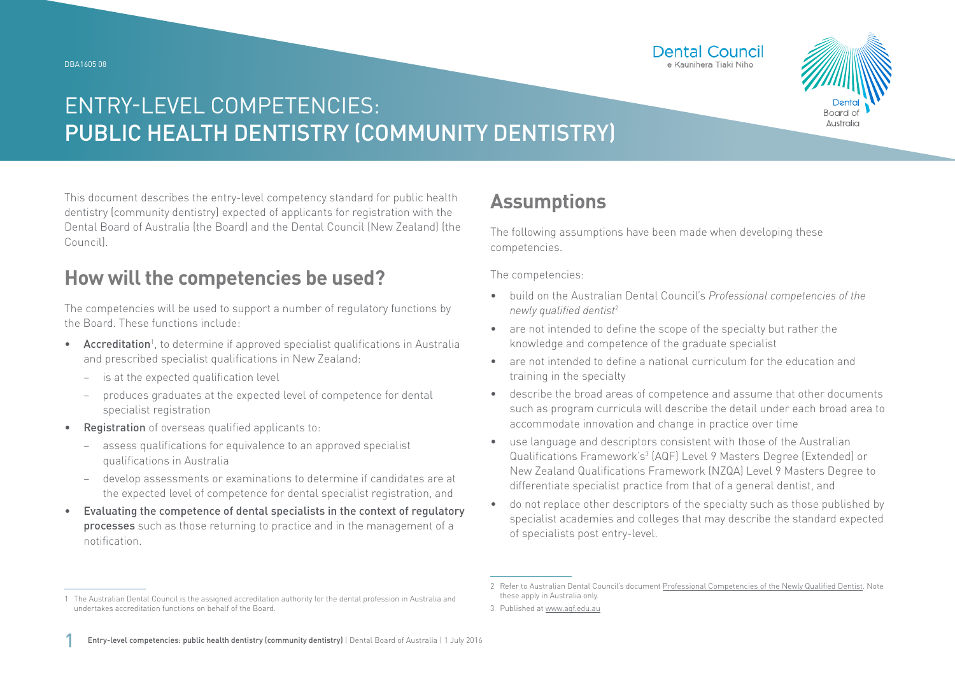

# ENTRY-LEVEL COMPETENCIES: PUBLIC HEALTH DENTISTRY (COMMUNITY DENTISTRY)

This document describes the entry-level competency standard for public health dentistry (community dentistry) expected of applicants for registration with the Dental Board of Australia (the Board) and the Dental Council (New Zealand) (the Council).

### **How will the competencies be used?**

The competencies will be used to support a number of regulatory functions by the Board. These functions include:

- Accreditation<sup>1</sup>, to determine if approved specialist qualifications in Australia and prescribed specialist qualifications in New Zealand:
	- − is at the expected qualification level
	- − produces graduates at the expected level of competence for dental specialist registration
- Registration of overseas qualified applicants to:
	- − assess qualifications for equivalence to an approved specialist qualifications in Australia
	- − develop assessments or examinations to determine if candidates are at the expected level of competence for dental specialist registration, and
- Evaluating the competence of dental specialists in the context of regulatory processes such as those returning to practice and in the management of a notification.

## **Assumptions**

The following assumptions have been made when developing these competencies.

The competencies:

• build on the Australian Dental Council's *Professional competencies of the newly qualified dentist*<sup>2</sup>

**Dental Council** e Kaunihera Tiaki Niho

- are not intended to define the scope of the specialty but rather the knowledge and competence of the graduate specialist
- are not intended to define a national curriculum for the education and training in the specialty
- describe the broad areas of competence and assume that other documents such as program curricula will describe the detail under each broad area to accommodate innovation and change in practice over time
- use language and descriptors consistent with those of the Australian Qualifications Framework's<sup>3</sup> (AQF) Level 9 Masters Degree (Extended) or New Zealand Qualifications Framework (NZQA) Level 9 Masters Degree to differentiate specialist practice from that of a general dentist, and
- do not replace other descriptors of the specialty such as those published by specialist academies and colleges that may describe the standard expected of specialists post entry-level.

<sup>1</sup> The Australian Dental Council is the assigned accreditation authority for the dental profession in Australia and undertakes accreditation functions on behalf of the Board.

<sup>2</sup> Refer to Australian Dental Council's document [Professional Competencies of the Newly Qualified Dentist.](http://Professional Competencies of the Newly Qualified Dentist) Note these apply in Australia only.

<sup>3</sup> Published at [www.aqf.edu.au](http://www.aqf.edu.au)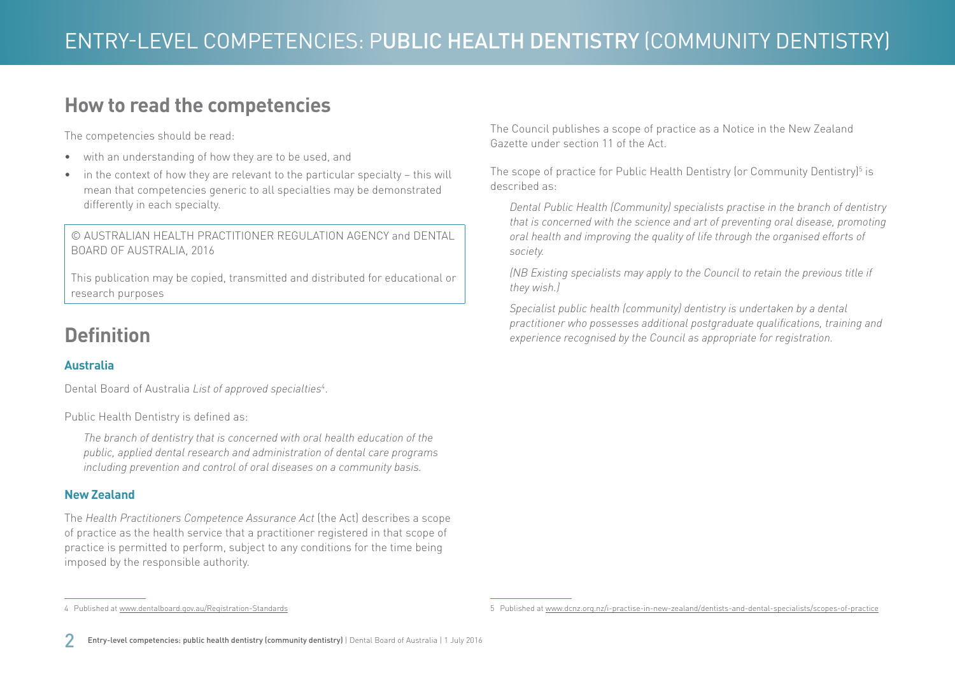### **How to read the competencies**

The competencies should be read:

- with an understanding of how they are to be used, and
- in the context of how they are relevant to the particular specialty this will mean that competencies generic to all specialties may be demonstrated differently in each specialty.

© AUSTRALIAN HEALTH PRACTITIONER REGULATION AGENCY and DENTAL BOARD OF AUSTRALIA, 2016

This publication may be copied, transmitted and distributed for educational or research purposes

## **Definition**

#### **Australia**

Dental Board of Australia *List of approved specialties*<sup>4</sup> .

Public Health Dentistry is defined as:

4 Published at [www.dentalboard.gov.au/Registration-Standards](http://www.dentalboard.gov.au/Registration-Standards.aspx)

*The branch of dentistry that is concerned with oral health education of the public, applied dental research and administration of dental care programs including prevention and control of oral diseases on a community basis.*

#### **New Zealand**

The *Health Practitioners Competence Assurance Act* (the Act) describes a scope of practice as the health service that a practitioner registered in that scope of practice is permitted to perform, subject to any conditions for the time being imposed by the responsible authority.

The Council publishes a scope of practice as a Notice in the New Zealand Gazette under section 11 of the Act.

The scope of practice for Public Health Dentistry (or Community Dentistry)<sup>5</sup> is described as:

*Dental Public Health (Community) specialists practise in the branch of dentistry that is concerned with the science and art of preventing oral disease, promoting oral health and improving the quality of life through the organised efforts of society.*

*(NB Existing specialists may apply to the Council to retain the previous title if they wish.)*

*Specialist public health (community) dentistry is undertaken by a dental practitioner who possesses additional postgraduate qualifications, training and experience recognised by the Council as appropriate for registration.*

<sup>5</sup> Published at [www.dcnz.org.nz/i-practise-in-new-zealand/dentists-and-dental-specialists/scopes-of-practice](http://www.dcnz.org.nz/i-practise-in-new-zealand/dentists-and-dental-specialists/scopes-of-practice)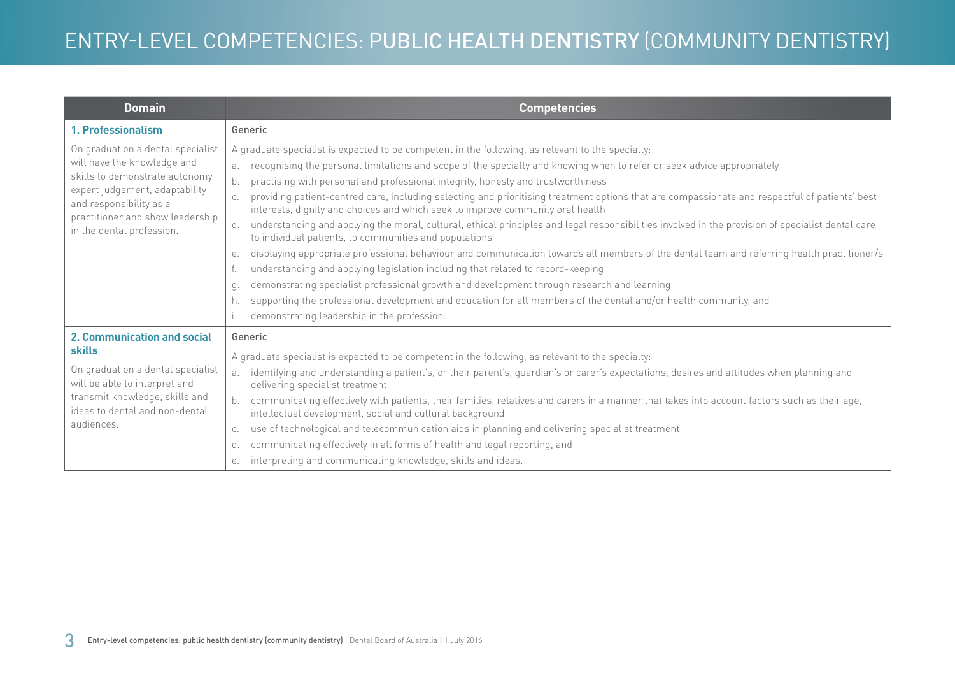| <b>Domain</b>                                                                                                                                                                                                                     | <b>Competencies</b>                                                                                                                                                                                                                                                                                                                                                                                                                                                                                                                                                                                                                                                                                                                                                                                                                                                                                                                                                                                                                                                                                                                                                                                                                                                                                            |
|-----------------------------------------------------------------------------------------------------------------------------------------------------------------------------------------------------------------------------------|----------------------------------------------------------------------------------------------------------------------------------------------------------------------------------------------------------------------------------------------------------------------------------------------------------------------------------------------------------------------------------------------------------------------------------------------------------------------------------------------------------------------------------------------------------------------------------------------------------------------------------------------------------------------------------------------------------------------------------------------------------------------------------------------------------------------------------------------------------------------------------------------------------------------------------------------------------------------------------------------------------------------------------------------------------------------------------------------------------------------------------------------------------------------------------------------------------------------------------------------------------------------------------------------------------------|
| 1. Professionalism                                                                                                                                                                                                                | Generic                                                                                                                                                                                                                                                                                                                                                                                                                                                                                                                                                                                                                                                                                                                                                                                                                                                                                                                                                                                                                                                                                                                                                                                                                                                                                                        |
| On graduation a dental specialist<br>will have the knowledge and<br>skills to demonstrate autonomy,<br>expert judgement, adaptability<br>and responsibility as a<br>practitioner and show leadership<br>in the dental profession. | A graduate specialist is expected to be competent in the following, as relevant to the specialty:<br>recognising the personal limitations and scope of the specialty and knowing when to refer or seek advice appropriately<br>a <sub>x</sub><br>practising with personal and professional integrity, honesty and trustworthiness<br>providing patient-centred care, including selecting and prioritising treatment options that are compassionate and respectful of patients' best<br>interests, dignity and choices and which seek to improve community oral health<br>understanding and applying the moral, cultural, ethical principles and legal responsibilities involved in the provision of specialist dental care<br>d.<br>to individual patients, to communities and populations<br>displaying appropriate professional behaviour and communication towards all members of the dental team and referring health practitioner/s<br>е.<br>understanding and applying legislation including that related to record-keeping<br>demonstrating specialist professional growth and development through research and learning<br>q.<br>supporting the professional development and education for all members of the dental and/or health community, and<br>h.<br>demonstrating leadership in the profession. |
| 2. Communication and social<br><b>skills</b><br>On graduation a dental specialist<br>will be able to interpret and<br>transmit knowledge, skills and<br>ideas to dental and non-dental<br>audiences.                              | Generic<br>A graduate specialist is expected to be competent in the following, as relevant to the specialty:<br>identifying and understanding a patient's, or their parent's, guardian's or carer's expectations, desires and attitudes when planning and<br>а.<br>delivering specialist treatment<br>communicating effectively with patients, their families, relatives and carers in a manner that takes into account factors such as their age,<br>intellectual development, social and cultural background<br>use of technological and telecommunication aids in planning and delivering specialist treatment<br>C.<br>communicating effectively in all forms of health and legal reporting, and<br>d.<br>interpreting and communicating knowledge, skills and ideas.<br>е.                                                                                                                                                                                                                                                                                                                                                                                                                                                                                                                                |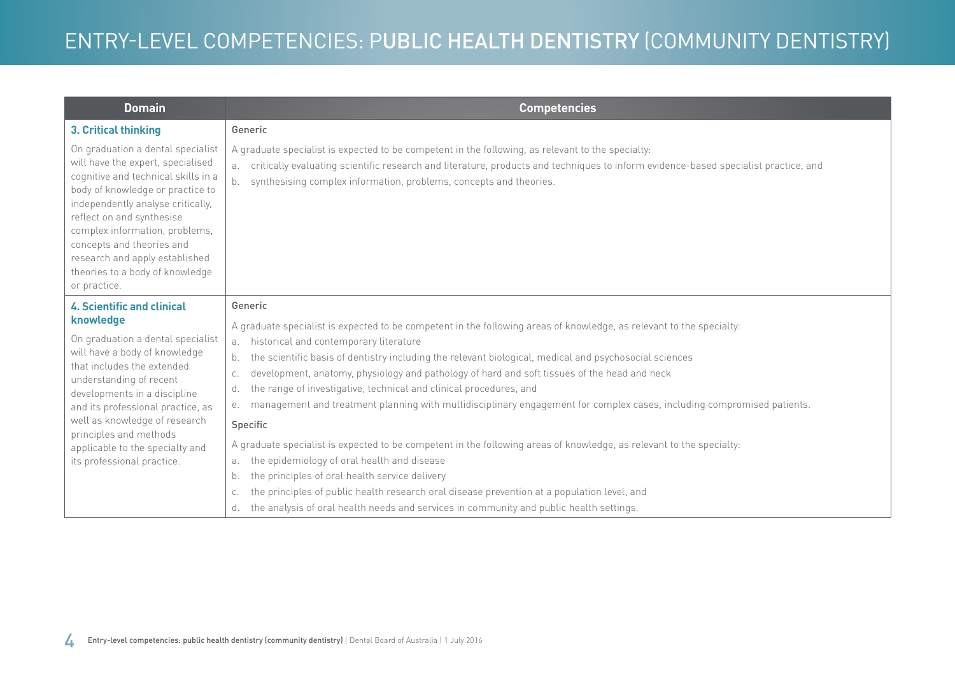| <b>Domain</b>                                                                                                                                                                                                                                                                                                                                                           | <b>Competencies</b>                                                                                                                                                                                                                                                                                                              |
|-------------------------------------------------------------------------------------------------------------------------------------------------------------------------------------------------------------------------------------------------------------------------------------------------------------------------------------------------------------------------|----------------------------------------------------------------------------------------------------------------------------------------------------------------------------------------------------------------------------------------------------------------------------------------------------------------------------------|
| 3. Critical thinking                                                                                                                                                                                                                                                                                                                                                    | Generic                                                                                                                                                                                                                                                                                                                          |
| On graduation a dental specialist<br>will have the expert, specialised<br>cognitive and technical skills in a<br>body of knowledge or practice to<br>independently analyse critically,<br>reflect on and synthesise<br>complex information, problems,<br>concepts and theories and<br>research and apply established<br>theories to a body of knowledge<br>or practice. | A graduate specialist is expected to be competent in the following, as relevant to the specialty:<br>critically evaluating scientific research and literature, products and techniques to inform evidence-based specialist practice, and<br>synthesising complex information, problems, concepts and theories.<br>b <sub>1</sub> |
| <b>4. Scientific and clinical</b><br>knowledge                                                                                                                                                                                                                                                                                                                          | Generic                                                                                                                                                                                                                                                                                                                          |
| On graduation a dental specialist<br>will have a body of knowledge<br>that includes the extended<br>understanding of recent<br>developments in a discipline<br>and its professional practice, as<br>well as knowledge of research<br>principles and methods<br>applicable to the specialty and<br>its professional practice.                                            | A graduate specialist is expected to be competent in the following areas of knowledge, as relevant to the specialty:<br>historical and contemporary literature<br>a.                                                                                                                                                             |
|                                                                                                                                                                                                                                                                                                                                                                         | the scientific basis of dentistry including the relevant biological, medical and psychosocial sciences<br>b.                                                                                                                                                                                                                     |
|                                                                                                                                                                                                                                                                                                                                                                         | development, anatomy, physiology and pathology of hard and soft tissues of the head and neck<br>C.                                                                                                                                                                                                                               |
|                                                                                                                                                                                                                                                                                                                                                                         | the range of investigative, technical and clinical procedures, and<br>d.                                                                                                                                                                                                                                                         |
|                                                                                                                                                                                                                                                                                                                                                                         | management and treatment planning with multidisciplinary engagement for complex cases, including compromised patients.<br>е.                                                                                                                                                                                                     |
|                                                                                                                                                                                                                                                                                                                                                                         | <b>Specific</b>                                                                                                                                                                                                                                                                                                                  |
|                                                                                                                                                                                                                                                                                                                                                                         | A graduate specialist is expected to be competent in the following areas of knowledge, as relevant to the specialty:                                                                                                                                                                                                             |
|                                                                                                                                                                                                                                                                                                                                                                         | the epidemiology of oral health and disease<br>a.                                                                                                                                                                                                                                                                                |
|                                                                                                                                                                                                                                                                                                                                                                         | the principles of oral health service delivery<br>b.                                                                                                                                                                                                                                                                             |
|                                                                                                                                                                                                                                                                                                                                                                         | the principles of public health research oral disease prevention at a population level, and<br>C.                                                                                                                                                                                                                                |
|                                                                                                                                                                                                                                                                                                                                                                         | the analysis of oral health needs and services in community and public health settings.<br>d.                                                                                                                                                                                                                                    |